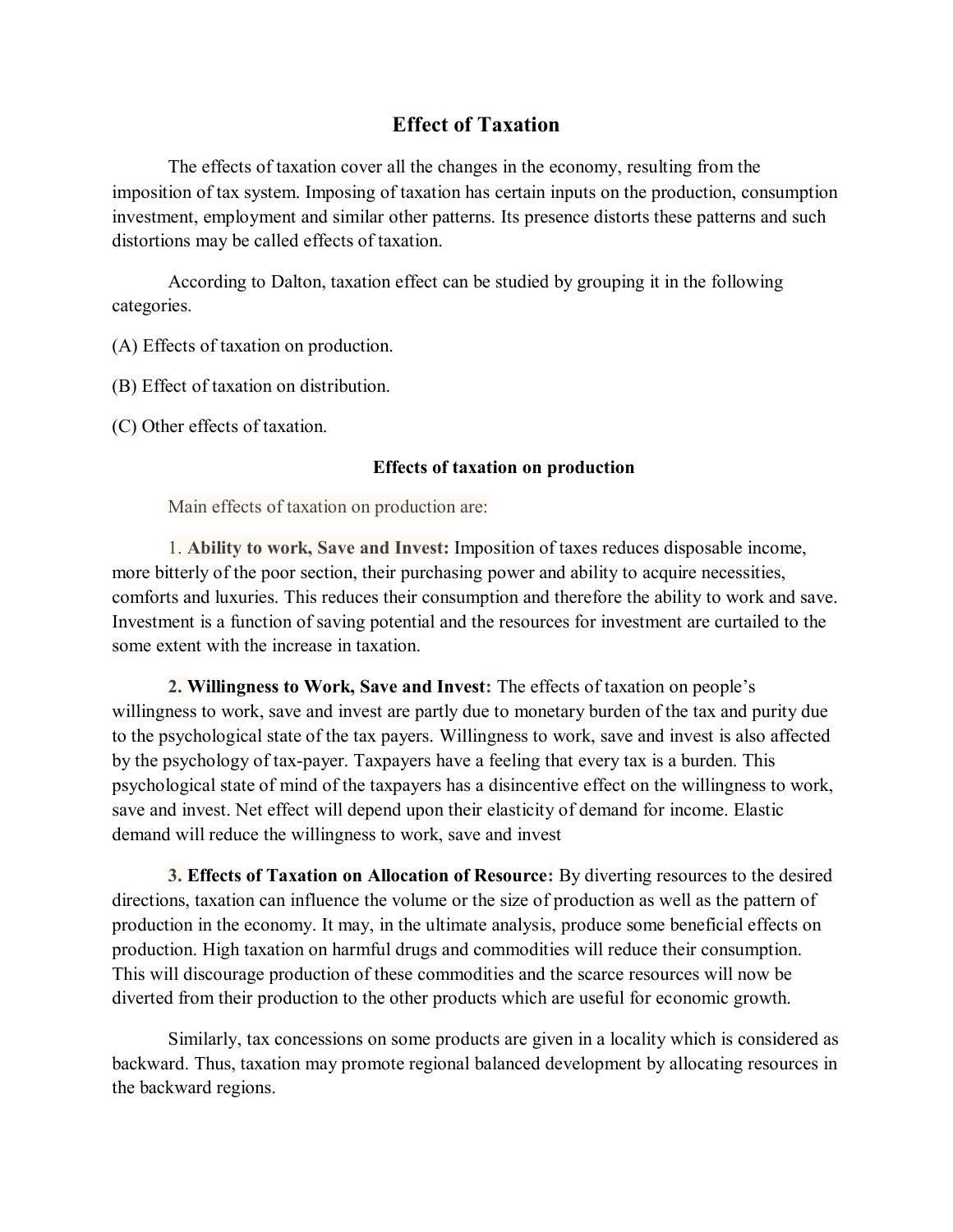## **Effect of Taxation**

The effects of taxation cover all the changes in the economy, resulting from the imposition of tax system. Imposing of taxation has certain inputs on the production, consumption investment, employment and similar other patterns. Its presence distorts these patterns and such distortions may be called effects of taxation.

According to Dalton, taxation effect can be studied by grouping it in the following categories.

(A) Effects of taxation on production.

(B) Effect of taxation on distribution.

(C) Other effects of taxation.

### **Effects of taxation on production**

Main effects of taxation on production are:

1. **Ability to work, Save and Invest:** Imposition of taxes reduces disposable income, more bitterly of the poor section, their purchasing power and ability to acquire necessities, comforts and luxuries. This reduces their consumption and therefore the ability to work and save. Investment is a function of saving potential and the resources for investment are curtailed to the some extent with the increase in taxation.

**2. Willingness to Work, Save and Invest:** The effects of taxation on people's willingness to work, save and invest are partly due to monetary burden of the tax and purity due to the psychological state of the tax payers. Willingness to work, save and invest is also affected by the psychology of tax-payer. Taxpayers have a feeling that every tax is a burden. This psychological state of mind of the taxpayers has a disincentive effect on the willingness to work, save and invest. Net effect will depend upon their elasticity of demand for income. Elastic demand will reduce the willingness to work, save and invest

**3. Effects of Taxation on Allocation of Resource:** By diverting resources to the desired directions, taxation can influence the volume or the size of production as well as the pattern of production in the economy. It may, in the ultimate analysis, produce some beneficial effects on production. High taxation on harmful drugs and commodities will reduce their consumption. This will discourage production of these commodities and the scarce resources will now be diverted from their production to the other products which are useful for economic growth.

Similarly, tax concessions on some products are given in a locality which is considered as backward. Thus, taxation may promote regional balanced development by allocating resources in the backward regions.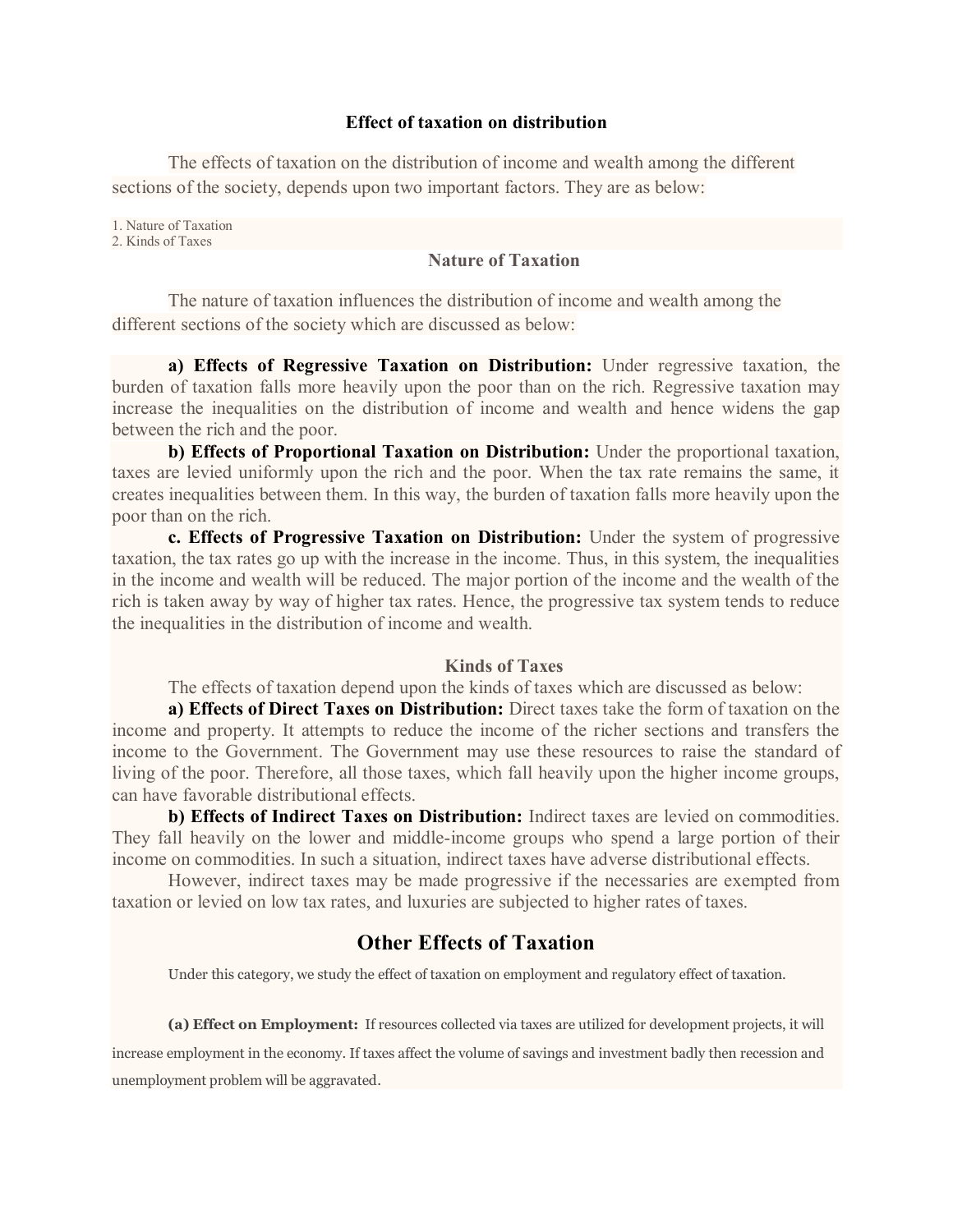#### **Effect of taxation on distribution**

The effects of taxation on the distribution of income and wealth among the different sections of the society, depends upon two important factors. They are as below:

1. Nature of Taxation

2. Kinds of Taxes

#### **Nature of Taxation**

The nature of taxation influences the distribution of income and wealth among the different sections of the society which are discussed as below:

**a) Effects of Regressive Taxation on Distribution:** Under regressive taxation, the burden of taxation falls more heavily upon the poor than on the rich. Regressive taxation may increase the inequalities on the distribution of income and wealth and hence widens the gap between the rich and the poor.

**b) Effects of Proportional Taxation on Distribution:** Under the proportional taxation, taxes are levied uniformly upon the rich and the poor. When the tax rate remains the same, it creates inequalities between them. In this way, the burden of taxation falls more heavily upon the poor than on the rich.

**c. Effects of Progressive Taxation on Distribution:** Under the system of progressive taxation, the tax rates go up with the increase in the income. Thus, in this system, the inequalities in the income and wealth will be reduced. The major portion of the income and the wealth of the rich is taken away by way of higher tax rates. Hence, the progressive tax system tends to reduce the inequalities in the distribution of income and wealth.

#### **Kinds of Taxes**

The effects of taxation depend upon the kinds of taxes which are discussed as below:

**a) Effects of Direct Taxes on Distribution:** Direct taxes take the form of taxation on the income and property. It attempts to reduce the income of the richer sections and transfers the income to the Government. The Government may use these resources to raise the standard of living of the poor. Therefore, all those taxes, which fall heavily upon the higher income groups, can have favorable distributional effects.

**b) Effects of Indirect Taxes on Distribution:** Indirect taxes are levied on commodities. They fall heavily on the lower and middle-income groups who spend a large portion of their income on commodities. In such a situation, indirect taxes have adverse distributional effects.

However, indirect taxes may be made progressive if the necessaries are exempted from taxation or levied on low tax rates, and luxuries are subjected to higher rates of taxes.

# **Other Effects of Taxation**

Under this category, we study the effect of taxation on employment and regulatory effect of taxation.

**(a) Effect on Employment:** If resources collected via taxes are utilized for development projects, it will

increase employment in the economy. If taxes affect the volume of savings and investment badly then recession and unemployment problem will be aggravated.